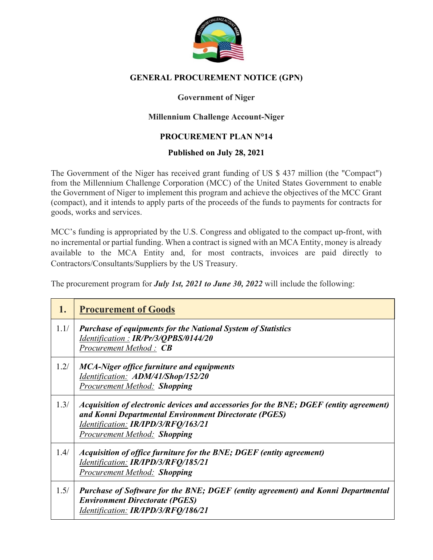

## **GENERAL PROCUREMENT NOTICE (GPN)**

#### **Government of Niger**

#### **Millennium Challenge Account-Niger**

# **PROCUREMENT PLAN N°14**

### **Published on July 28, 2021**

The Government of the Niger has received grant funding of US \$ 437 million (the "Compact") from the Millennium Challenge Corporation (MCC) of the United States Government to enable the Government of Niger to implement this program and achieve the objectives of the MCC Grant (compact), and it intends to apply parts of the proceeds of the funds to payments for contracts for goods, works and services.

MCC's funding is appropriated by the U.S. Congress and obligated to the compact up-front, with no incremental or partial funding. When a contract is signed with an MCA Entity, money is already available to the MCA Entity and, for most contracts, invoices are paid directly to Contractors/Consultants/Suppliers by the US Treasury.

The procurement program for *July 1st, 2021 to June 30, 2022* will include the following:

| 1.   | <b>Procurement of Goods</b>                                                                                                                                                                                            |
|------|------------------------------------------------------------------------------------------------------------------------------------------------------------------------------------------------------------------------|
| 1.1/ | <b>Purchase of equipments for the National System of Statistics</b><br>Identification: IR/Pr/3/QPBS/0144/20<br>Procurement Method: CB                                                                                  |
| 1.2/ | <b>MCA-Niger office furniture and equipments</b><br>Identification: ADM/41/Shop/152/20<br><b>Procurement Method: Shopping</b>                                                                                          |
| 1.3/ | Acquisition of electronic devices and accessories for the BNE; DGEF (entity agreement)<br>and Konni Departmental Environment Directorate (PGES)<br>Identification: IR/IPD/3/RFQ/163/21<br>Procurement Method: Shopping |
| 1.4/ | Acquisition of office furniture for the BNE; DGEF (entity agreement)<br>Identification: IR/IPD/3/RFQ/185/21<br><b>Procurement Method: Shopping</b>                                                                     |
| 1.5/ | Purchase of Software for the BNE; DGEF (entity agreement) and Konni Departmental<br><b>Environment Directorate (PGES)</b><br>Identification: IR/IPD/3/RFQ/186/21                                                       |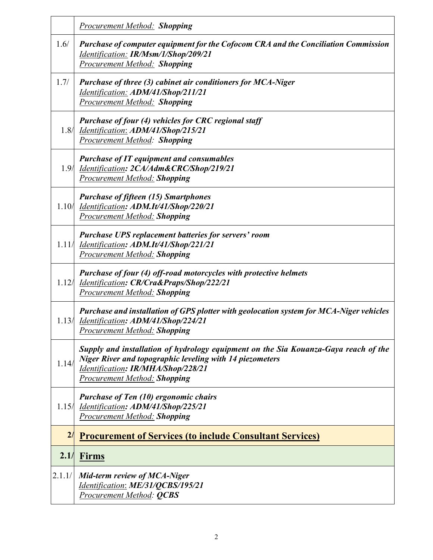|        | <b>Procurement Method: Shopping</b>                                                                                                                                                                                          |
|--------|------------------------------------------------------------------------------------------------------------------------------------------------------------------------------------------------------------------------------|
| 1.6/   | Purchase of computer equipment for the Cofocom CRA and the Conciliation Commission<br>Identification: IR/Msm/1/Shop/209/21<br><b>Procurement Method: Shopping</b>                                                            |
| 1.7/   | Purchase of three (3) cabinet air conditioners for MCA-Niger<br>Identification: ADM/41/Shop/211/21<br><b>Procurement Method: Shopping</b>                                                                                    |
| 1.8/   | <b>Purchase of four (4) vehicles for CRC regional staff</b><br>Identification: ADM/41/Shop/215/21<br><b>Procurement Method: Shopping</b>                                                                                     |
| 1.9/   | <b>Purchase of IT equipment and consumables</b><br>Identification: 2CA/Adm&CRC/Shop/219/21<br><b>Procurement Method: Shopping</b>                                                                                            |
| 1.10/  | <b>Purchase of fifteen (15) Smartphones</b><br>Identification: ADM.It/41/Shop/220/21<br>Procurement Method: Shopping                                                                                                         |
| 1.11/  | <b>Purchase UPS replacement batteries for servers' room</b><br>Identification: ADM.It/41/Shop/221/21<br>Procurement Method: Shopping                                                                                         |
| 1.12/  | Purchase of four (4) off-road motorcycles with protective helmets<br>Identification: CR/Cra&Praps/Shop/222/21<br>Procurement Method: Shopping                                                                                |
| 1.13/  | Purchase and installation of GPS plotter with geolocation system for MCA-Niger vehicles<br>Identification: ADM/41/Shop/224/21<br><b>Procurement Method: Shopping</b>                                                         |
| 1.14/  | Supply and installation of hydrology equipment on the Sia Kouanza-Gaya reach of the<br><b>Niger River and topographic leveling with 14 piezometers</b><br>Identification: IR/MHA/Shop/228/21<br>Procurement Method: Shopping |
| 1.15/  | <b>Purchase of Ten (10) ergonomic chairs</b><br>Identification: ADM/41/Shop/225/21<br><b>Procurement Method: Shopping</b>                                                                                                    |
| 2/     | <b>Procurement of Services (to include Consultant Services)</b>                                                                                                                                                              |
| 2.1/   | Firms                                                                                                                                                                                                                        |
| 2.1.1/ | Mid-term review of MCA-Niger<br>Identification: ME/31/QCBS/195/21<br><b>Procurement Method: QCBS</b>                                                                                                                         |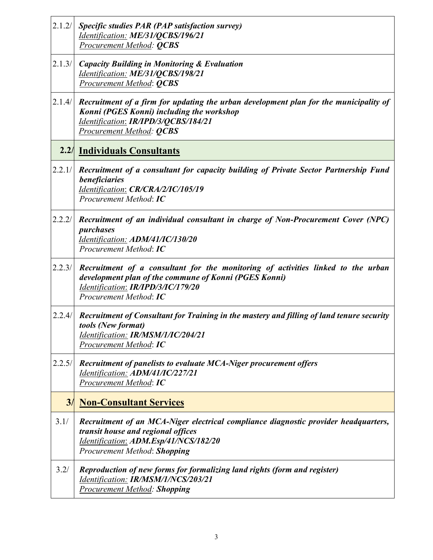| 2.1.2/ | Specific studies PAR (PAP satisfaction survey)<br>Identification: ME/31/QCBS/196/21<br><b>Procurement Method: QCBS</b>                                                                                        |
|--------|---------------------------------------------------------------------------------------------------------------------------------------------------------------------------------------------------------------|
| 2.1.3/ | <b>Capacity Building in Monitoring &amp; Evaluation</b><br>Identification: ME/31/QCBS/198/21<br><b>Procurement Method: QCBS</b>                                                                               |
| 2.1.4/ | Recruitment of a firm for updating the urban development plan for the municipality of<br>Konni (PGES Konni) including the workshop<br>Identification: IR/IPD/3/QCBS/184/21<br><b>Procurement Method: QCBS</b> |
|        | 2.2/ Individuals Consultants                                                                                                                                                                                  |
| 2.2.1/ | Recruitment of a consultant for capacity building of Private Sector Partnership Fund<br>beneficiaries<br>Identification: CR/CRA/2/IC/105/19<br>Procurement Method: IC                                         |
| 2.2.2/ | Recruitment of an individual consultant in charge of Non-Procurement Cover (NPC)<br>purchases<br>Identification: ADM/41/IC/130/20<br>Procurement Method: IC                                                   |
| 2.2.3/ | Recruitment of a consultant for the monitoring of activities linked to the urban<br>development plan of the commune of Konni (PGES Konni)<br>Identification: IR/IPD/3/IC/179/20<br>Procurement Method: IC     |
| 2.2.4/ | Recruitment of Consultant for Training in the mastery and filling of land tenure security<br>tools (New format)<br>Identification: IR/MSM/1/IC/204/21<br>Procurement Method: IC                               |
| 2.2.5/ | <b>Recruitment of panelists to evaluate MCA-Niger procurement offers</b><br>Identification: ADM/41/IC/227/21<br><b>Procurement Method: IC</b>                                                                 |
| 3/     | <b>Non-Consultant Services</b>                                                                                                                                                                                |
| 3.1/   | Recruitment of an MCA-Niger electrical compliance diagnostic provider headquarters,<br>transit house and regional offices<br>Identification: ADM.Esp/41/NCS/182/20<br>Procurement Method: Shopping            |
| 3.2/   | Reproduction of new forms for formalizing land rights (form and register)<br>Identification: IR/MSM/1/NCS/203/21<br><b>Procurement Method: Shopping</b>                                                       |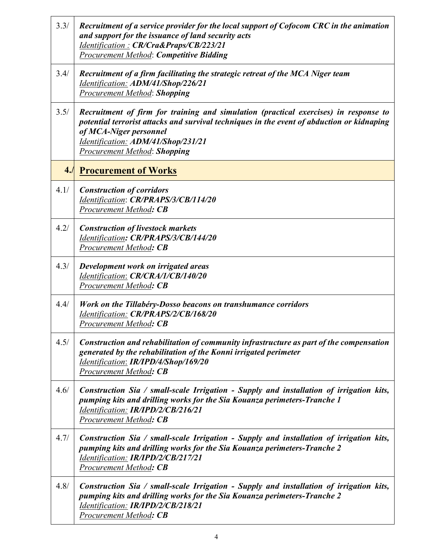| 3.3/ | Recruitment of a service provider for the local support of Cofocom CRC in the animation<br>and support for the issuance of land security acts<br>Identification: CR/Cra&Praps/CB/223/21<br><b>Procurement Method: Competitive Bidding</b>                                          |  |  |
|------|------------------------------------------------------------------------------------------------------------------------------------------------------------------------------------------------------------------------------------------------------------------------------------|--|--|
| 3.4/ | Recruitment of a firm facilitating the strategic retreat of the MCA Niger team<br>Identification: ADM/41/Shop/226/21<br><b>Procurement Method: Shopping</b>                                                                                                                        |  |  |
| 3.5/ | Recruitment of firm for training and simulation (practical exercises) in response to<br>potential terrorist attacks and survival techniques in the event of abduction or kidnaping<br>of MCA-Niger personnel<br>Identification: ADM/41/Shop/231/21<br>Procurement Method: Shopping |  |  |
|      | 4.1<br><b>Procurement of Works</b>                                                                                                                                                                                                                                                 |  |  |
| 4.1/ | <b>Construction of corridors</b><br>Identification: CR/PRAPS/3/CB/114/20<br>Procurement Method: CB                                                                                                                                                                                 |  |  |
| 4.2/ | <b>Construction of livestock markets</b><br>Identification: CR/PRAPS/3/CB/144/20<br>Procurement Method: CB                                                                                                                                                                         |  |  |
| 4.3/ | Development work on irrigated areas<br>Identification: CR/CRA/1/CB/140/20<br><b>Procurement Method: CB</b>                                                                                                                                                                         |  |  |
| 4.4/ | Work on the Tillabéry-Dosso beacons on transhumance corridors<br>Identification: CR/PRAPS/2/CB/168/20<br><b>Procurement Method: CB</b>                                                                                                                                             |  |  |
| 4.5/ | Construction and rehabilitation of community infrastructure as part of the compensation<br>generated by the rehabilitation of the Konni irrigated perimeter<br>Identification: IR/IPD/4/Shop/169/20<br>Procurement Method: CB                                                      |  |  |
| 4.6/ | Construction Sia / small-scale Irrigation - Supply and installation of irrigation kits,<br>pumping kits and drilling works for the Sia Kouanza perimeters-Tranche 1<br>Identification: IR/IPD/2/CB/216/21<br>Procurement Method: CB                                                |  |  |
| 4.7/ | Construction Sia / small-scale Irrigation - Supply and installation of irrigation kits,<br>pumping kits and drilling works for the Sia Kouanza perimeters-Tranche 2<br>Identification: IR/IPD/2/CB/217/21<br><b>Procurement Method: CB</b>                                         |  |  |
| 4.8/ | Construction Sia / small-scale Irrigation - Supply and installation of irrigation kits,<br>pumping kits and drilling works for the Sia Kouanza perimeters-Tranche 2<br>Identification: IR/IPD/2/CB/218/21<br><b>Procurement Method: CB</b>                                         |  |  |